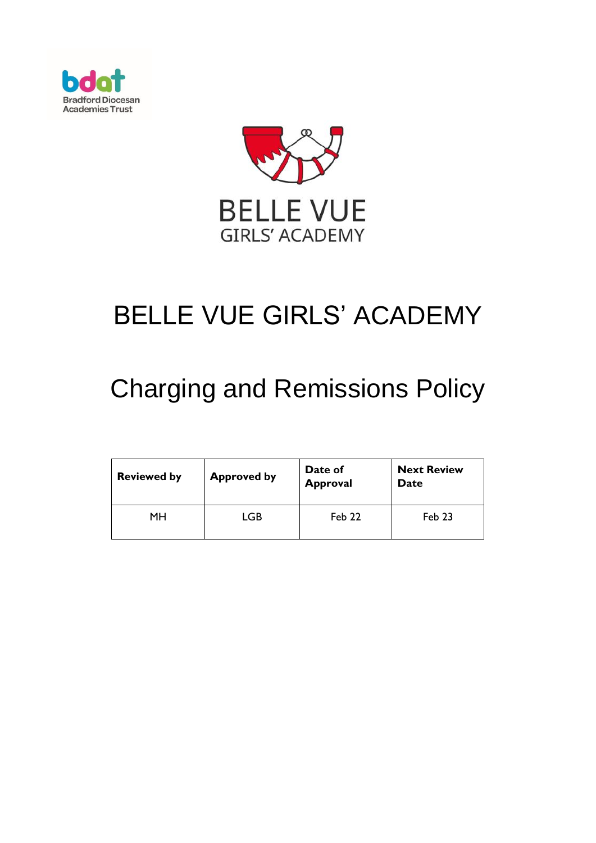



# BELLE VUE GIRLS' ACADEMY

# Charging and Remissions Policy

| <b>Reviewed by</b> | <b>Approved by</b> | Date of<br><b>Approval</b> | <b>Next Review</b><br>Date |
|--------------------|--------------------|----------------------------|----------------------------|
| MН                 | LGB                | Feb 22                     | Feb 23                     |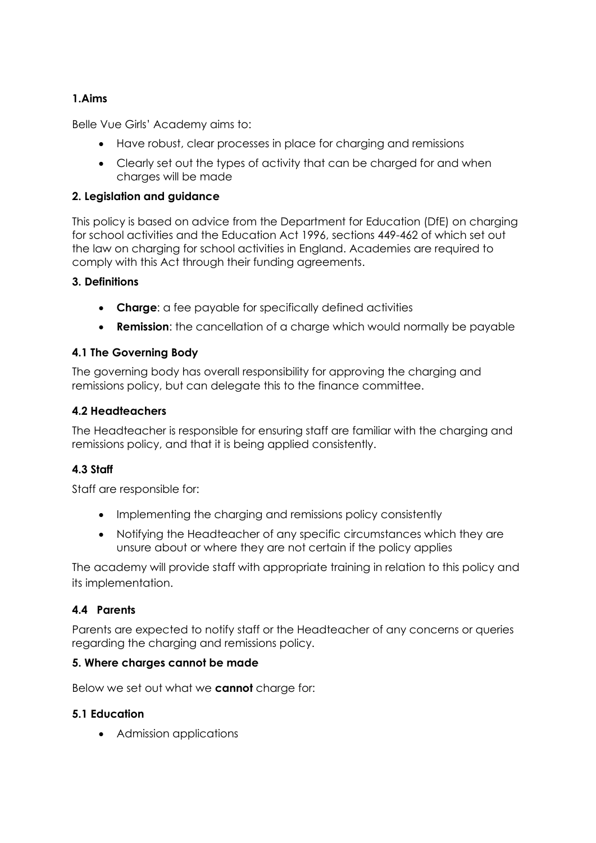# **1.Aims**

Belle Vue Girls' Academy aims to:

- Have robust, clear processes in place for charging and remissions
- Clearly set out the types of activity that can be charged for and when charges will be made

# **2. Legislation and guidance**

This policy is based on advice from the Department for Education (DfE) on [charging](https://www.gov.uk/government/publications/charging-for-school-activities)  [for school activities](https://www.gov.uk/government/publications/charging-for-school-activities) and [the Education Act 1996,](http://www.legislation.gov.uk/ukpga/1996/56/part/VI/chapter/III) sections 449-462 of which set out the law on charging for school activities in England. Academies are required to comply with this Act through their funding agreements.

## **3. Definitions**

- **Charge**: a fee payable for specifically defined activities
- **Remission**: the cancellation of a charge which would normally be payable

## **4.1 The Governing Body**

The governing body has overall responsibility for approving the charging and remissions policy, but can delegate this to the finance committee.

## **4.2 Headteachers**

The Headteacher is responsible for ensuring staff are familiar with the charging and remissions policy, and that it is being applied consistently.

## **4.3 Staff**

Staff are responsible for:

- Implementing the charging and remissions policy consistently
- Notifying the Headteacher of any specific circumstances which they are unsure about or where they are not certain if the policy applies

The academy will provide staff with appropriate training in relation to this policy and its implementation.

## **4.4 Parents**

Parents are expected to notify staff or the Headteacher of any concerns or queries regarding the charging and remissions policy.

#### **5. Where charges cannot be made**

Below we set out what we **cannot** charge for:

#### **5.1 Education**

• Admission applications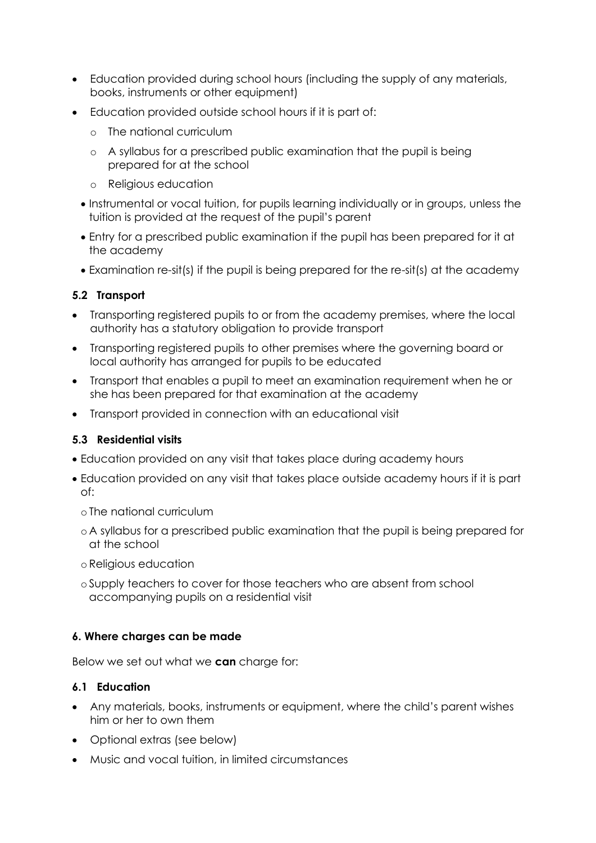- Education provided during school hours (including the supply of any materials, books, instruments or other equipment)
- Education provided outside school hours if it is part of:
	- o The national curriculum
	- o A syllabus for a prescribed public examination that the pupil is being prepared for at the school
	- o Religious education
	- Instrumental or vocal tuition, for pupils learning individually or in groups, unless the tuition is provided at the request of the pupil's parent
	- Entry for a prescribed public examination if the pupil has been prepared for it at the academy
	- Examination re-sit(s) if the pupil is being prepared for the re-sit(s) at the academy

# **5.2 Transport**

- Transporting registered pupils to or from the academy premises, where the local authority has a statutory obligation to provide transport
- Transporting registered pupils to other premises where the governing board or local authority has arranged for pupils to be educated
- Transport that enables a pupil to meet an examination requirement when he or she has been prepared for that examination at the academy
- Transport provided in connection with an educational visit

# **5.3 Residential visits**

- Education provided on any visit that takes place during academy hours
- Education provided on any visit that takes place outside academy hours if it is part of:
	- o The national curriculum
	- o A syllabus for a prescribed public examination that the pupil is being prepared for at the school
	- o Religious education
	- o Supply teachers to cover for those teachers who are absent from school accompanying pupils on a residential visit

# **6. Where charges can be made**

Below we set out what we **can** charge for:

## **6.1 Education**

- Any materials, books, instruments or equipment, where the child's parent wishes him or her to own them
- Optional extras (see below)
- Music and vocal tuition, in limited circumstances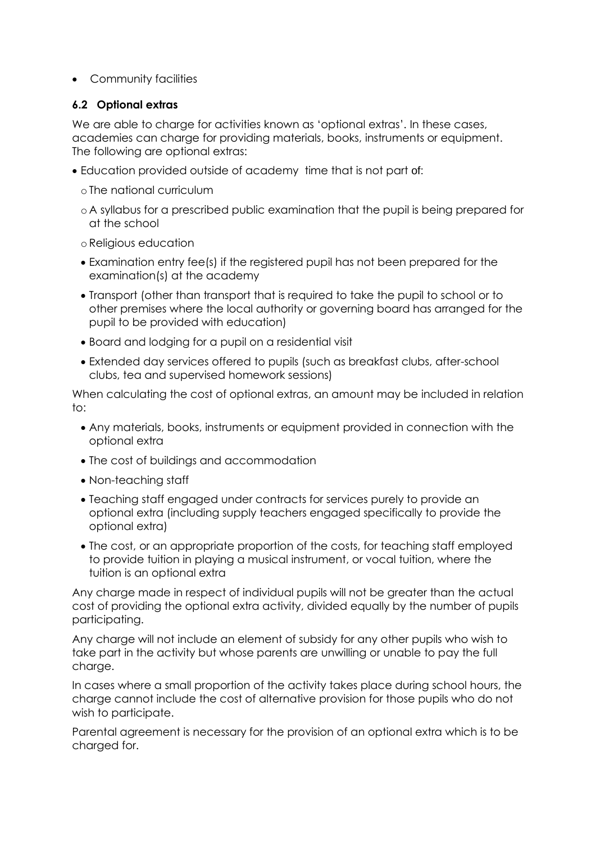• Community facilities

# **6.2 Optional extras**

We are able to charge for activities known as 'optional extras'. In these cases, academies can charge for providing materials, books, instruments or equipment. The following are optional extras:

- Education provided outside of academy time that is not part of:
	- o The national curriculum
	- o A syllabus for a prescribed public examination that the pupil is being prepared for at the school
	- o Religious education
	- Examination entry fee(s) if the registered pupil has not been prepared for the examination(s) at the academy
	- Transport (other than transport that is required to take the pupil to school or to other premises where the local authority or governing board has arranged for the pupil to be provided with education)
	- Board and lodging for a pupil on a residential visit
	- Extended day services offered to pupils (such as breakfast clubs, after-school clubs, tea and supervised homework sessions)

When calculating the cost of optional extras, an amount may be included in relation to:

- Any materials, books, instruments or equipment provided in connection with the optional extra
- The cost of buildings and accommodation
- Non-teaching staff
- Teaching staff engaged under contracts for services purely to provide an optional extra (including supply teachers engaged specifically to provide the optional extra)
- The cost, or an appropriate proportion of the costs, for teaching staff employed to provide tuition in playing a musical instrument, or vocal tuition, where the tuition is an optional extra

Any charge made in respect of individual pupils will not be greater than the actual cost of providing the optional extra activity, divided equally by the number of pupils participating.

Any charge will not include an element of subsidy for any other pupils who wish to take part in the activity but whose parents are unwilling or unable to pay the full charge.

In cases where a small proportion of the activity takes place during school hours, the charge cannot include the cost of alternative provision for those pupils who do not wish to participate.

Parental agreement is necessary for the provision of an optional extra which is to be charged for.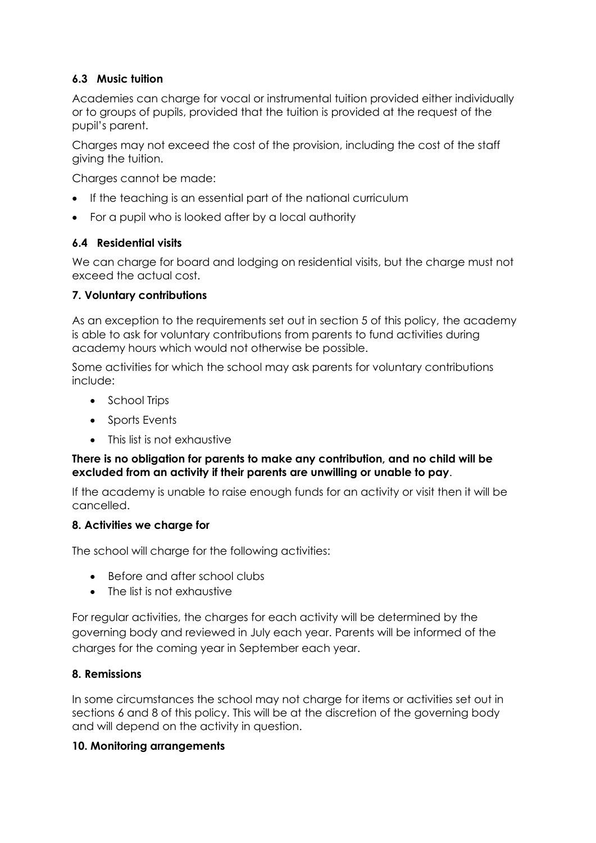# **6.3 Music tuition**

Academies can charge for vocal or instrumental tuition provided either individually or to groups of pupils, provided that the tuition is provided at the request of the pupil's parent.

Charges may not exceed the cost of the provision, including the cost of the staff giving the tuition.

Charges cannot be made:

- If the teaching is an essential part of the national curriculum
- For a pupil who is looked after by a local authority

# **6.4 Residential visits**

We can charge for board and lodging on residential visits, but the charge must not exceed the actual cost.

# **7. Voluntary contributions**

As an exception to the requirements set out in section 5 of this policy, the academy is able to ask for voluntary contributions from parents to fund activities during academy hours which would not otherwise be possible.

Some activities for which the school may ask parents for voluntary contributions include:

- School Trips
- Sports Events
- This list is not exhaustive

## **There is no obligation for parents to make any contribution, and no child will be excluded from an activity if their parents are unwilling or unable to pay**.

If the academy is unable to raise enough funds for an activity or visit then it will be cancelled.

## **8. Activities we charge for**

The school will charge for the following activities:

- Before and after school clubs
- The list is not exhaustive

For regular activities, the charges for each activity will be determined by the governing body and reviewed in July each year. Parents will be informed of the charges for the coming year in September each year.

## **8. Remissions**

In some circumstances the school may not charge for items or activities set out in sections 6 and 8 of this policy. This will be at the discretion of the governing body and will depend on the activity in question.

## **10. Monitoring arrangements**